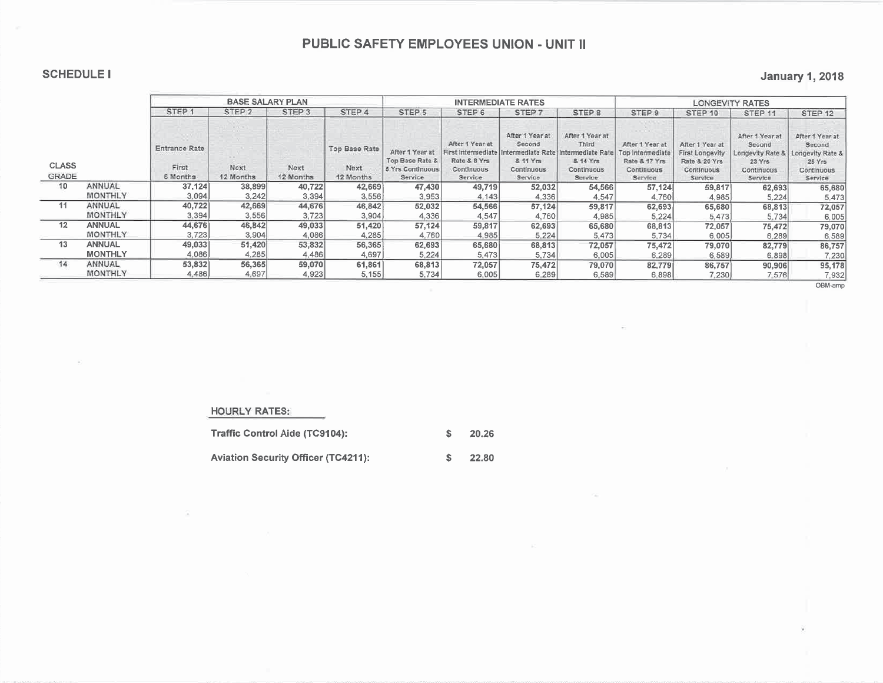## **SCHEDULE I**

## **January 1, 2018**

|                       |                |                                           | <b>BASE SALARY PLAN</b> |                   |                                    |                                                                   |                                                                                 | <b>INTERMEDIATE RATES</b>                                      |                                                                                                     | <b>LONGEVITY RATES</b>                                                        |                                                                                      |                                                                                  |                                                                                 |  |  |
|-----------------------|----------------|-------------------------------------------|-------------------------|-------------------|------------------------------------|-------------------------------------------------------------------|---------------------------------------------------------------------------------|----------------------------------------------------------------|-----------------------------------------------------------------------------------------------------|-------------------------------------------------------------------------------|--------------------------------------------------------------------------------------|----------------------------------------------------------------------------------|---------------------------------------------------------------------------------|--|--|
|                       |                | STEP <sub>1</sub>                         | STEP <sub>2</sub>       | STEP <sub>3</sub> | STEP 4                             | STEP 5                                                            | STEP 6                                                                          | STEP <sub>7</sub>                                              | STEP <sub>8</sub>                                                                                   | STEP 9                                                                        | STEP 10                                                                              | STEP <sub>11</sub>                                                               | STEP <sub>12</sub>                                                              |  |  |
| <b>CLASS</b><br>GRADE |                | <b>Entrance Rate</b><br>First<br>6 Months | Next<br>12 Months       | Next<br>12 Months | Top Base Rate<br>Next<br>12 Months | After 1 Year at<br>Top Base Rate &<br>5 Yrs Continuous<br>Service | After 1 Year at<br>First Intermediate<br>Rate & 8 Yrs<br>Continuous.<br>Service | After 1 Year at<br>Second<br>& 11 Yrs<br>Continuous<br>Service | After 1 Year at<br>Third<br>ntermediate Rate Intermediate Rate<br>& 14 Yrs<br>Continuous<br>Service | After 1 Year at<br>Top Intermediate<br>Rate & 17 Yrs<br>Continuous<br>Service | After 1 Year at<br><b>First Longevity</b><br>Rate & 20 Yrs<br>Continuous<br>Service. | After 1 Year at<br>Second<br>Longevity Rate &<br>23 Yrs<br>Continuous<br>Service | After 1 Year at<br>Second<br>Longevity Rate &<br>25Yrs<br>Continuous<br>Service |  |  |
| 10                    | ANNUAL         | 37,124                                    | 38,899                  | 40,722            | 42,669                             | 47,430                                                            | 49,719                                                                          | 52,032                                                         | 54,566                                                                                              | 57,124                                                                        | 59,817                                                                               | 62,693                                                                           | 65,680                                                                          |  |  |
|                       | <b>MONTHLY</b> | 3.094                                     | 3.242                   | 3.394             | 3.556                              | 3,953                                                             | 4.143                                                                           | 4,336                                                          | 4,547                                                                                               | 4,760                                                                         | 4,985                                                                                | 5,224                                                                            | 5,473                                                                           |  |  |
| 11                    | ANNUAL         | 40,722                                    | 42,669                  | 44,676            | 46,842                             | 52,032                                                            | 54,566                                                                          | 57,124                                                         | 59,817                                                                                              | 62,693                                                                        | 65,680                                                                               | 68,813                                                                           | 72,057                                                                          |  |  |
|                       | <b>MONTHLY</b> | 3,394                                     | 3,556                   | 3.723             | 3,904                              | 4,336                                                             | 4.547                                                                           | 4.760                                                          | 4,985                                                                                               | 5,224                                                                         | 5,473                                                                                | 5,734                                                                            | 6,005                                                                           |  |  |
| 12                    | <b>ANNUAL</b>  | 44,676                                    | 46,842                  | 49,033            | 51,420                             | 57,124                                                            | 59,817                                                                          | 62,693                                                         | 65,680                                                                                              | 68,813                                                                        | 72,057                                                                               | 75,472                                                                           | 79,070                                                                          |  |  |
|                       | <b>MONTHLY</b> | 3,723                                     | 3.904                   | 4.086             | 4.285                              | 4.760                                                             | 4,985                                                                           | 5,224                                                          | 5,473                                                                                               | 5,734                                                                         | 6,005                                                                                | 6.289                                                                            | 6,589                                                                           |  |  |
| 13                    | <b>ANNUAL</b>  | 49,033                                    | 51,420                  | 53,832            | 56,365                             | 62,693                                                            | 65,680                                                                          | 68,813                                                         | 72,057                                                                                              | 75,472                                                                        | 79,070                                                                               | 82,779                                                                           | 86,757                                                                          |  |  |
|                       | <b>MONTHLY</b> | 4.086                                     | 4.285                   | 4.486             | 4.697                              | 5.224                                                             | 5,473                                                                           | 5,734                                                          | 6,005                                                                                               | 6.289                                                                         | 6.589                                                                                | 6,898                                                                            | 7,230                                                                           |  |  |
| 14                    | ANNUAL         | 53,832                                    | 56,365                  | 59,070            | 61,861                             | 68,813                                                            | 72,057                                                                          | 75,472                                                         | 79,070                                                                                              | 82,7791                                                                       | 86,757                                                                               | 90,906                                                                           | 95,178                                                                          |  |  |
|                       | <b>MONTHLY</b> | 4.486                                     | 4,697                   | 4,923             | 5,155                              | 5,734                                                             | 6,005                                                                           | 6,289                                                          | 6,589                                                                                               | 6.898                                                                         | 7.230                                                                                | 7,576                                                                            | 7,932                                                                           |  |  |

OBM-amp

#### **HOURLY RATES:**

| Traffic Control Aide (TC9104):             | 20.26 |
|--------------------------------------------|-------|
| <b>Aviation Security Officer (TC4211):</b> | 22.80 |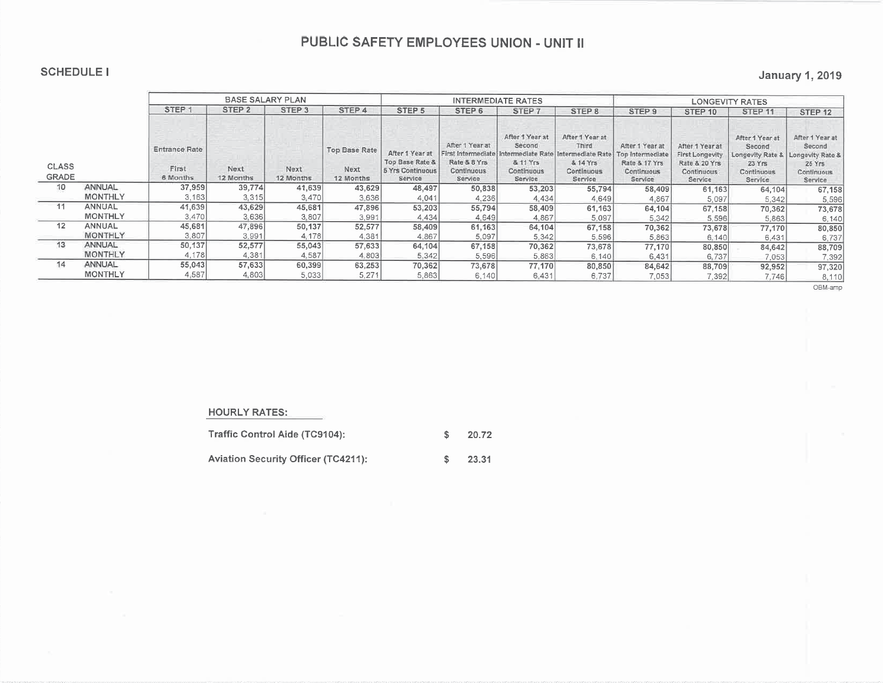### **SCHEDULE I**

### **January 1, 2019**

|                              |                |                                           | <b>BASE SALARY PLAN</b> |                   |                                           |                                                                              |                                                                                       | <b>INTERMEDIATE RATES</b>                                      |                                                                                                        | <b>LONGEVITY RATES</b>                                                        |                                                                              |                                                                                 |                                                                                 |  |  |
|------------------------------|----------------|-------------------------------------------|-------------------------|-------------------|-------------------------------------------|------------------------------------------------------------------------------|---------------------------------------------------------------------------------------|----------------------------------------------------------------|--------------------------------------------------------------------------------------------------------|-------------------------------------------------------------------------------|------------------------------------------------------------------------------|---------------------------------------------------------------------------------|---------------------------------------------------------------------------------|--|--|
|                              |                | STEP <sub>1</sub>                         | STEP <sub>2</sub>       | STEP <sub>3</sub> | STEP <sub>4</sub>                         | STEP <sub>5</sub>                                                            | STEP <sub>6</sub>                                                                     | STEP <sub>7</sub>                                              | STEP <sub>8</sub>                                                                                      | STEP 9                                                                        | STEP 10                                                                      | STEP <sub>11</sub>                                                              | STEP <sub>12</sub>                                                              |  |  |
| <b>CLASS</b><br><b>GRADE</b> |                | <b>Entrance Rate</b><br>First<br>6 Months | Next<br>12 Months       | Next<br>12 Months | <b>Top Base Rate</b><br>Next<br>12 Months | After 1 Year at<br><b>Top Base Rate &amp;</b><br>5 Yrs Continuous<br>Service | After 1 Year at<br>First Intermediate<br>Rate & 8 Yrs<br><b>Continuous</b><br>Service | After 1 Year at<br>Second<br>& 11 Yrs<br>Continuous<br>Service | After 1 Year at<br>Third<br>Intermediate Rate   Intermediate Rate<br>& 14 Yrs<br>Continuous<br>Service | After 1 Year at<br>Top Intermediate<br>Rate & 17 Yrs<br>Continuous<br>Service | After 1 Year at<br>First Longevity<br>Rate & 20 Yrs<br>Continuous<br>Service | After 1 Year at<br>Second<br>Longevity Rate &<br>23Yrs<br>Continuous<br>Service | After 1 Year at<br>Second<br>Longevity Rate &<br>25Yrs<br>Continuous<br>Service |  |  |
| 10                           | ANNUAL         | 37,959                                    | 39,774                  | 41,639            | 43,629                                    | 48,497                                                                       | 50,838                                                                                | 53,203                                                         | 55,794                                                                                                 | 58,409                                                                        | 61,163                                                                       | 64,104                                                                          | 67,158                                                                          |  |  |
|                              | <b>MONTHLY</b> | 3,163                                     | 3,315                   | 3,470             | 3.636                                     | 4,041                                                                        | 4,236                                                                                 | 4.434                                                          | 4.649                                                                                                  | 4,867                                                                         | 5,097                                                                        | 5,342                                                                           | 5,596                                                                           |  |  |
| 11                           | ANNUAL         | 41,639                                    | 43,629                  | 45,681            | 47,896                                    | 53,203                                                                       | 55,794                                                                                | 58,409                                                         | 61,163                                                                                                 | 64,104                                                                        | 67,158                                                                       | 70,362                                                                          | 73,678                                                                          |  |  |
|                              | <b>MONTHLY</b> | 3,470                                     | 3.636                   | 3,807             | 3,991                                     | 4.434                                                                        | 4,649                                                                                 | 4,867                                                          | 5.097                                                                                                  | 5,342                                                                         | 5,596                                                                        | 5,863                                                                           | 6,140                                                                           |  |  |
| 12                           | <b>ANNUAL</b>  | 45,681                                    | 47,896                  | 50,137            | 52,577                                    | 58,409                                                                       | 61,163                                                                                | 64,104                                                         | 67.158                                                                                                 | 70,362                                                                        | 73,678                                                                       | 77,170                                                                          | 80,850                                                                          |  |  |
|                              | <b>MONTHLY</b> | 3,807                                     | 3,991                   | 4,178             | 4,381                                     | 4,867                                                                        | 5,097                                                                                 | 5,342                                                          | 5.596                                                                                                  | 5,863                                                                         | 6,140                                                                        | 6,431                                                                           | 6,737                                                                           |  |  |
| 13                           | ANNUAL         | 50,137                                    | 52,577                  | 55,043            | 57,633                                    | 64,104                                                                       | 67,158                                                                                | 70,362                                                         | 73,678                                                                                                 | 77,170                                                                        | 80,850                                                                       | 84,642                                                                          | 88,709                                                                          |  |  |
|                              | <b>MONTHLY</b> | 4,178                                     | 4,381                   | 4,587             | 4.803                                     | 5.342                                                                        | 5,596                                                                                 | 5,863                                                          | 6,140                                                                                                  | 6,431                                                                         | 6,737                                                                        | 7,053                                                                           | 7,392                                                                           |  |  |
| 14                           | ANNUAL         | 55,043                                    | 57,633                  | 60,399            | 63,253                                    | 70,362                                                                       | 73,678                                                                                | 77,170                                                         | 80,850                                                                                                 | 84,642                                                                        | 88,709                                                                       | 92,952                                                                          | 97,320                                                                          |  |  |
|                              | <b>MONTHLY</b> | 4,587                                     | 4,803                   | 5.033             | 5,271                                     | 5,863                                                                        | 6.140                                                                                 | 6.431                                                          | 6,737                                                                                                  | 7,053                                                                         | 7.392                                                                        | 7,746                                                                           | 8,110                                                                           |  |  |

OBM-amp

#### **HOURLY RATES:**

| Traffic Control Aide (TC9104):             | 20.72 |
|--------------------------------------------|-------|
| <b>Aviation Security Officer (TC4211):</b> | 23.31 |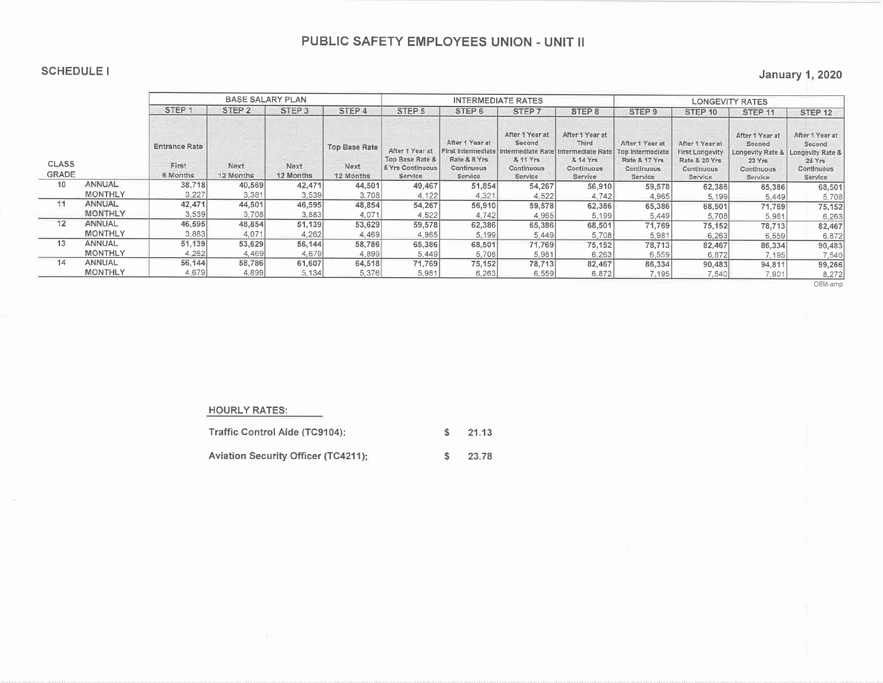#### **SCHEDULE I**

### **January 1, 2020**

|                              |                |                                           | <b>BASE SALARY PLAN</b> |                   |                                           |                                                                   |                                                                                | <b>INTERMEDIATE RATES</b>                                                          |                                                                                     | <b>LONGEVITY RATES</b>                                                        |                                                                              |                                                                                 |                                                                                  |  |  |
|------------------------------|----------------|-------------------------------------------|-------------------------|-------------------|-------------------------------------------|-------------------------------------------------------------------|--------------------------------------------------------------------------------|------------------------------------------------------------------------------------|-------------------------------------------------------------------------------------|-------------------------------------------------------------------------------|------------------------------------------------------------------------------|---------------------------------------------------------------------------------|----------------------------------------------------------------------------------|--|--|
|                              |                | STEP .                                    | STEP <sub>2</sub>       | STEP <sub>3</sub> | STEP 4                                    | STEP 5                                                            | STEP <sub>6</sub>                                                              | STEP 7                                                                             | STEP 8                                                                              | STEP <sub>9</sub>                                                             | STEP <sub>10</sub>                                                           | STEP <sub>11</sub>                                                              | STEP <sub>12</sub>                                                               |  |  |
| <b>CLASS</b><br><b>GRADE</b> |                | <b>Entrance Rate</b><br>First<br>6 Months | Next<br>12 Months       | Next<br>12 Months | <b>Top Base Rate</b><br>Next<br>12 Months | After 1 Year at<br>Top Base Rate &<br>5 Yrs Continuous<br>Service | After 1 Year at<br>First Intermediate<br>Rate & 8 Yrs<br>Continuous<br>Service | After 1 Year at<br>Second<br>ttermediate Rate<br>& 11 Yrs<br>Continuous<br>Service | After 1 Year at<br>Third.<br>Intermediate Rate<br>& 14 Yrs<br>Continuous<br>Service | After 1 Year at<br>Top intermediate<br>Rate & 17 Yrs<br>Continuous<br>Service | After 1 Year at<br>First Longevity<br>Rate & 20 Yrs<br>Continuous<br>Service | After 1 Year at<br>Second<br>Longevity Rate &<br>23Yrs<br>Continuous<br>Service | After 1 Year at<br>Second<br>Longevity Rate &<br>25 Yrs<br>Continuous<br>Service |  |  |
| 10                           | ANNUAL         | 38,718                                    | 40,569                  | 42,471            | 44,501                                    | 49,467                                                            | 51,854                                                                         | 54,267                                                                             | 56,910                                                                              | 59,578                                                                        | 62,386                                                                       | 65,386                                                                          | 68,501                                                                           |  |  |
|                              | <b>MONTHLY</b> | 3.227                                     | 3,381                   | 3,539             | 3,708                                     | 4.122                                                             | 4,321                                                                          | 4.522                                                                              | 4,742                                                                               | 4,965                                                                         | 5,199                                                                        | 5,449                                                                           | 5,708                                                                            |  |  |
| 11                           | ANNUAL         | 42,471                                    | 44,501                  | 46,595            | 48,854                                    | 54,267                                                            | 56,910                                                                         | 59,578                                                                             | 62,386                                                                              | 65,386                                                                        | 68,501                                                                       | 71,769                                                                          | 75,152                                                                           |  |  |
|                              | <b>MONTHLY</b> | 3,539                                     | 3,708                   | 3883              | 4,071                                     | 4,522                                                             | 4,742                                                                          | 4.965                                                                              | 5.199                                                                               | 5,449                                                                         | 5,708                                                                        | 5,981                                                                           | 6,263                                                                            |  |  |
| 12                           | ANNUAL         | 46,595                                    | 48,854                  | 51,139            | 53,629                                    | 59,578                                                            | 62,386                                                                         | 65,386                                                                             | 68,501                                                                              | 71,769                                                                        | 75,152                                                                       | 78,713                                                                          | 82,467                                                                           |  |  |
|                              | <b>MONTHLY</b> | 3.883                                     | 4,071                   | 4.262             | 4,469                                     | 4.965                                                             | 5,199                                                                          | 5.449                                                                              | 5,708                                                                               | 5.981                                                                         | 6,263                                                                        | 6,559                                                                           | 6 872                                                                            |  |  |
| 13                           | ANNUAL         | 51,139                                    | 53,629                  | 56,144            | 58,786                                    | 65,386                                                            | 68,501                                                                         | 71,769                                                                             | 75,152                                                                              | 78,713                                                                        | 82,467                                                                       | 86,334                                                                          | 90,483                                                                           |  |  |
|                              | <b>MONTHLY</b> | 4,262                                     | 4,469                   | 4,679             | 4,899                                     | 5,449                                                             | 5,708                                                                          | 5.981                                                                              | 6,263                                                                               | 6.559                                                                         | 6,872                                                                        | 7.195                                                                           | 7,540                                                                            |  |  |
| 14                           | ANNUAL         | 56,144                                    | 58,786                  | 61,607            | 64,518                                    | 71,769                                                            | 75,152                                                                         | 78,713                                                                             | 82,467                                                                              | 86,334                                                                        | 90,483                                                                       | 94,811                                                                          | 99,266                                                                           |  |  |
|                              | <b>MONTHLY</b> | 4.679                                     | 4,899                   | 5,134             | 5,376                                     | 5,981                                                             | 6,263                                                                          | 6,559                                                                              | 6,872                                                                               | 7.195                                                                         | 7,540                                                                        | 7.901                                                                           | 8,272                                                                            |  |  |

OBM-amp

#### **HOURLY RATES:**

| Traffic Control Aide (TC9104):             | 21.13 |
|--------------------------------------------|-------|
| <b>Aviation Security Officer (TC4211):</b> | 23.78 |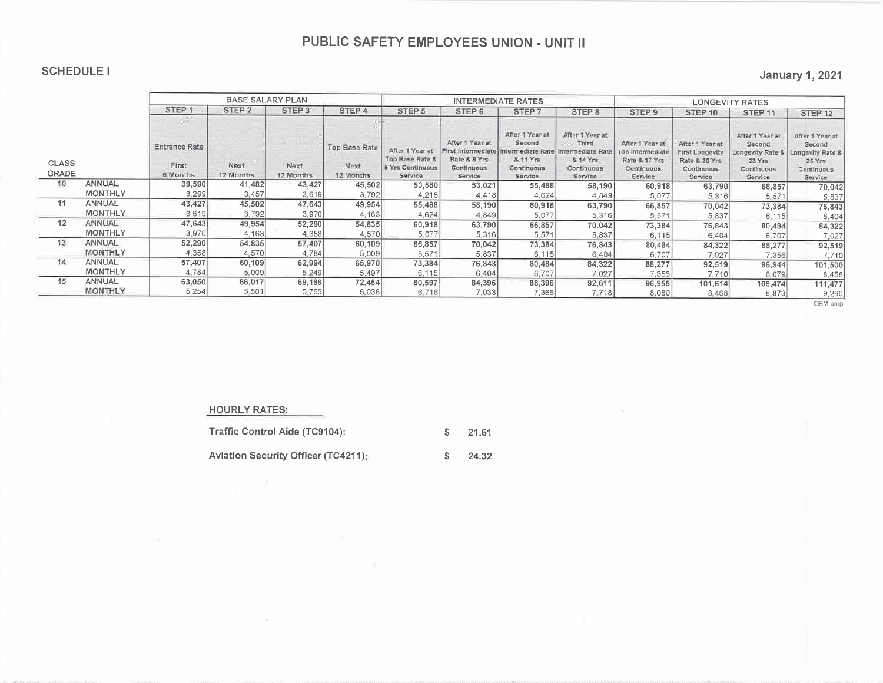#### **SCHEDULE I**

### **January 1, 2021**

|                              |                |                                           | <b>BASE SALARY PLAN</b> |                   |                                     |                                                                   |                                                                                | <b>INTERMEDIATE RATES</b>                                                           |                                                                                    | <b>LONGEVITY RATES</b>                                                               |                                                                                |                                                                                   |                                                                                         |  |  |  |
|------------------------------|----------------|-------------------------------------------|-------------------------|-------------------|-------------------------------------|-------------------------------------------------------------------|--------------------------------------------------------------------------------|-------------------------------------------------------------------------------------|------------------------------------------------------------------------------------|--------------------------------------------------------------------------------------|--------------------------------------------------------------------------------|-----------------------------------------------------------------------------------|-----------------------------------------------------------------------------------------|--|--|--|
|                              |                | STEP <sub>1</sub>                         | STEP <sub>2</sub>       | STEP <sub>3</sub> | STEP 4                              | STEP <sub>5</sub>                                                 | STEP <sub>6</sub>                                                              | STEP <sub>7</sub>                                                                   | STEP 8                                                                             | STEP <sub>9</sub>                                                                    | STEP 10                                                                        | STEP <sub>11</sub>                                                                | STEP 12                                                                                 |  |  |  |
| <b>CLASS</b><br><b>GRADE</b> |                | <b>Entrance Rate</b><br>First<br>6 Months | Next<br>12 Months       | Next<br>12 Months | Top Base Rate<br>Next.<br>12 Months | After 1 Year at<br>Top Base Rate &<br>5 Yrs Continuous<br>Service | After 1 Year at<br>First Intermediate<br>Rate & 8 Yrs<br>Continuous<br>Service | After 1 Year at<br>Second<br>Intermediate Rate<br>& 11 Yrs<br>Continuous<br>Service | After 1 Year at<br>Third<br>Intermediate Rate<br>& 14 Yrs<br>Continuous<br>Service | After 1 Year at<br>Top Intermediate<br>Rate & 17 Yrs<br><b>Continuous</b><br>Service | After 1 Year at<br>First Longevity<br>Rate & 20 Yrs<br>Continuous.<br>Service: | After 1 Year at<br>Second<br>Longevity Rate &<br>23 Yrs<br>Continuous<br>Service: | After 1 Year at<br>Second<br>Longevity Rate &<br>25 Yrs<br><b>Continuous</b><br>Service |  |  |  |
| 10                           | ANNUAL         | 39,590                                    | 41,482                  | 43,427            | 45,502                              | 50,580                                                            | 53,021                                                                         | 55,488                                                                              | 58,190                                                                             | 60,918                                                                               | 63,790                                                                         | 66,857                                                                            | 70,042                                                                                  |  |  |  |
|                              | <b>MONTHLY</b> | 3,299                                     | 3,457                   | 3,619             | 3,792                               | 4,215                                                             | 4.418                                                                          | 4.624                                                                               | 4,849                                                                              | 5,077                                                                                | 5,316                                                                          | 5,571                                                                             | 5,837                                                                                   |  |  |  |
| 11                           | ANNUAL         | 43,427                                    | 45,502                  | 47,643            | 49,954                              | 55,488                                                            | 58,190                                                                         | 60,918                                                                              | 63,790                                                                             | 66,857                                                                               | 70,042                                                                         | 73,384                                                                            | 76,843                                                                                  |  |  |  |
|                              | <b>MONTHLY</b> | 3,619                                     | 3,792                   | 3,970             | 4,163                               | 4,624                                                             | 4,849                                                                          | 5,077                                                                               | 5,316                                                                              | 5,571                                                                                | 5,837                                                                          | 6,115                                                                             | 6,404                                                                                   |  |  |  |
| 12                           | ANNUAL         | 47,643                                    | 49,954                  | 52,290            | 54,835                              | 60,918                                                            | 63,790                                                                         | 66,857                                                                              | 70,042                                                                             | 73,384                                                                               | 76,843                                                                         | 80,484                                                                            | 84,322                                                                                  |  |  |  |
|                              | <b>MONTHLY</b> | 3,970                                     | 4,163                   | 4.358             | 4,570                               | 5,077                                                             | 5,316                                                                          | 5,571                                                                               | 5,837                                                                              | 6, 115                                                                               | 6,404                                                                          | 6,707                                                                             | 7,027                                                                                   |  |  |  |
| 13                           | ANNUAL         | 52,290                                    | 54,835                  | 57,407            | 60,109                              | 66,857                                                            | 70,042                                                                         | 73,384                                                                              | 76,843                                                                             | 80,484                                                                               | 84,322                                                                         | 88,277                                                                            | 92,519                                                                                  |  |  |  |
|                              | <b>MONTHLY</b> | 4,358                                     | 4,570                   | 4.784             | 5.009                               | 5,571                                                             | 5,837                                                                          | 6:115                                                                               | 6.404                                                                              | 6.707                                                                                | 7,027                                                                          | 7.356                                                                             | 7,710                                                                                   |  |  |  |
| 14                           | <b>ANNUAL</b>  | 57,407                                    | 60,109                  | 62,994            | 65,970                              | 73,384                                                            | 76,843                                                                         | 80,484                                                                              | 84,322                                                                             | 88,277                                                                               | 92,519                                                                         | 96,944                                                                            | 101,500                                                                                 |  |  |  |
|                              | <b>MONTHLY</b> | 4,784                                     | 5.009                   | 5,249             | 5,497                               | 6,115                                                             | 6,404                                                                          | 6,707                                                                               | 7,027                                                                              | 7,356                                                                                | 7.710                                                                          | 8,079                                                                             | 8,458                                                                                   |  |  |  |
| 15                           | ANNUAL         | 63,050                                    | 66,017                  | 69,186            | 72,454                              | 80,597                                                            | 84,396                                                                         | 88,396                                                                              | 92,611                                                                             | 96,955                                                                               | 101,614                                                                        | 106,474                                                                           | 111,477                                                                                 |  |  |  |
|                              | <b>MONTHLY</b> | 5,254                                     | 5,501                   | 5,765             | 6,038                               | 6,716                                                             | 7.033                                                                          | 7.366                                                                               | 7.718                                                                              | 8.080                                                                                | 8,468                                                                          | 8,873                                                                             | 9,290                                                                                   |  |  |  |

OBM-amp

#### **HOURLY RATES:**

Traffic Control Aide (TC9104): 21.61  $\sqrt{2}$ Aviation Security Officer (TC4211);  $\sqrt{2}$ 24.32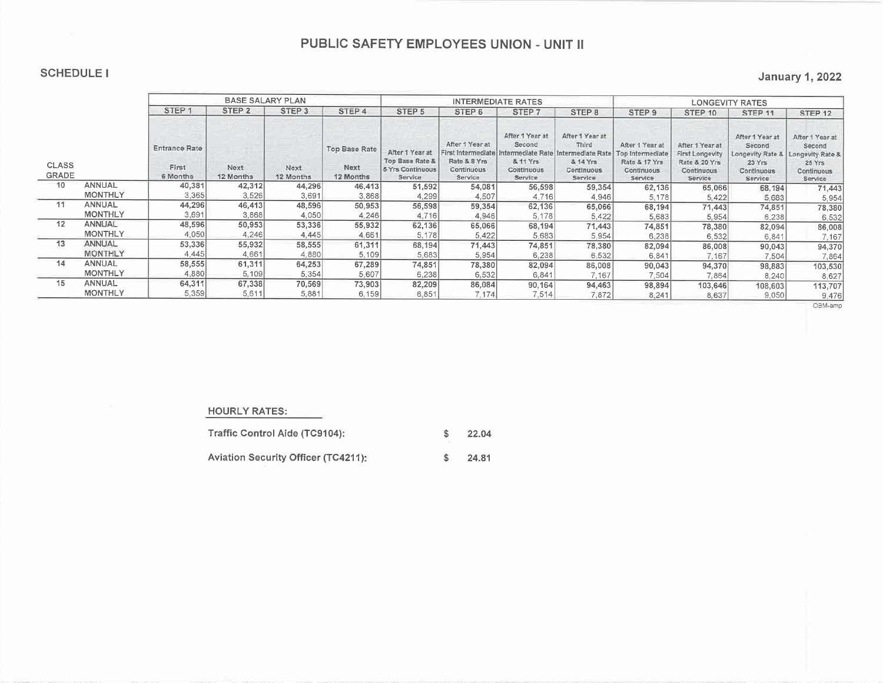### **SCHEDULE I**

|                              |                |                                           | <b>BASE SALARY PLAN</b> |                   |                                    |                                                                          |                                                                                | <b>INTERMEDIATE RATES</b>                                                        |                                                                                   | <b>LONGEVITY RATES</b>                                                        |                                                                              |                                                                                  |                                                                                  |  |  |
|------------------------------|----------------|-------------------------------------------|-------------------------|-------------------|------------------------------------|--------------------------------------------------------------------------|--------------------------------------------------------------------------------|----------------------------------------------------------------------------------|-----------------------------------------------------------------------------------|-------------------------------------------------------------------------------|------------------------------------------------------------------------------|----------------------------------------------------------------------------------|----------------------------------------------------------------------------------|--|--|
|                              |                | STEP <sub>1</sub><br>STEP <sub>2</sub>    |                         | STEP <sub>3</sub> | STEP <sub>4</sub>                  | STEP <sub>5</sub>                                                        | STEP <sub>6</sub>                                                              | STEP <sub>7</sub>                                                                | STEP <sub>8</sub>                                                                 | STEP 9                                                                        | STEP 10                                                                      | STEP <sub>11</sub>                                                               | STEP <sub>12</sub>                                                               |  |  |
| <b>CLASS</b><br><b>GRADE</b> |                | <b>Entrance Rate</b><br>First<br>6 Months | Next<br>12 Months       | Next<br>12 Months | Top Base Rate<br>Next<br>12 Months | After 1 Year at<br>Top Base Rate &<br><b>5 Yrs Continuous</b><br>Service | After 1 Year at<br>First Intermediate<br>Rate & 8 Yrs<br>Continuous<br>Service | After 1 Year at<br>Second<br>ermediate Rate<br>& 11 Yrs<br>Continuous<br>Service | After 1 Year at<br>Third<br>ntermediate Rate<br>& 14 Yrs<br>Continuous<br>Service | After 1 Year at<br>Top Intermediate<br>Rate & 17 Yrs<br>Continuous<br>Service | After 1 Year at<br>First Longevity<br>Rate & 20 Yrs<br>Continuous<br>Service | After 1 Year at<br>Second<br>Longevity Rate &<br>23 Yrs<br>Continuous<br>Service | After 1 Year at<br>Second<br>Longevity Rate &<br>25 Yrs<br>Continuous<br>Service |  |  |
| 10                           | <b>ANNUAL</b>  | 40,381                                    | 42,312                  | 44,296            | 46,413                             | 51,592                                                                   | 54,081                                                                         | 56,598                                                                           | 59,354                                                                            | 62,136                                                                        | 65,066                                                                       | 68,194                                                                           | 71,443                                                                           |  |  |
|                              | <b>MONTHLY</b> | 3,365                                     | 3,526                   | 3,691             | 3,868                              | 4,299                                                                    | 4,507                                                                          | 4,716                                                                            | 4,946                                                                             | 5,178                                                                         | 5,422                                                                        | 5,683                                                                            | 5,954                                                                            |  |  |
| 11                           | ANNUAL         | 44,296                                    | 46,413                  | 48,596            | 50,953                             | 56,598                                                                   | 59,354                                                                         | 62,136                                                                           | 65,066                                                                            | 68,194                                                                        | 71,443                                                                       | 74,851                                                                           | 78,380                                                                           |  |  |
|                              | <b>MONTHLY</b> | 3,691                                     | 3,868                   | 4,050             | 4,246                              | 4.716                                                                    | 4,946                                                                          | 5,178                                                                            | 5,422                                                                             | 5,683                                                                         | 5,954                                                                        | 6,238                                                                            | 6,532                                                                            |  |  |
| 12                           | ANNUAL         | 48,596                                    | 50,953                  | 53,336            | 55,932                             | 62,136                                                                   | 65,066                                                                         | 68,194                                                                           | 71,443                                                                            | 74,851                                                                        | 78,380                                                                       | 82,094                                                                           | 86,008                                                                           |  |  |
|                              | <b>MONTHLY</b> | 4,050                                     | 4,246                   | 4,445             | 4,661                              | 5,178                                                                    | 5,422                                                                          | 5,683                                                                            | 5,954                                                                             | 6,238                                                                         | 6,532                                                                        | 6,841                                                                            | 7,167                                                                            |  |  |
| 13                           | ANNUAL         | 53,336                                    | 55,932                  | 58,555            | 61,311                             | 68,194                                                                   | 71,443                                                                         | 74,851                                                                           | 78.380                                                                            | 82,094                                                                        | 86,008                                                                       | 90,043                                                                           | 94,370                                                                           |  |  |
|                              | <b>MONTHLY</b> | 4,445                                     | 4.661                   | 4,880             | 5,109                              | 5,683                                                                    | 5,954                                                                          | 6,238                                                                            | 6,532                                                                             | 6,841                                                                         | 7,167                                                                        | 7,504                                                                            | 7,864                                                                            |  |  |
| 14                           | <b>ANNUAL</b>  | 58,555                                    | 61,311                  | 64,253            | 67,289                             | 74,851                                                                   | 78,380                                                                         | 82,094                                                                           | 86,008                                                                            | 90,043                                                                        | 94,370                                                                       | 98,883                                                                           | 103,530                                                                          |  |  |
|                              | <b>MONTHLY</b> | 4,880                                     | 5,109                   | 5,354             | 5,607                              | 6,238                                                                    | 6,532                                                                          | 6,841                                                                            | 7.167                                                                             | 7,504                                                                         | 7.864                                                                        | 8,240                                                                            | 8,627                                                                            |  |  |
| 15                           | ANNUAL         | 64,311                                    | 67,338                  | 70,569            | 73,903                             | 82,209                                                                   | 86,084                                                                         | 90,164                                                                           | 94,463                                                                            | 98,894                                                                        | 103,646                                                                      | 108,603                                                                          | 113,707                                                                          |  |  |
|                              | <b>MONTHLY</b> | 5,359                                     | 5,611                   | 5,881             | 6,159                              | 6,851                                                                    | 7.174                                                                          | 7,514                                                                            | 7,872                                                                             | 8,241                                                                         | 8,637                                                                        | 9,050                                                                            | 9,476                                                                            |  |  |

OBM-amp

#### **HOURLY RATES:**

Traffic Control Aide (TC9104):  $\sqrt[6]{\frac{1}{2}}$ 22.04

Aviation Security Officer (TC4211):  $\mathsf{s}$ 24.81

## **January 1, 2022**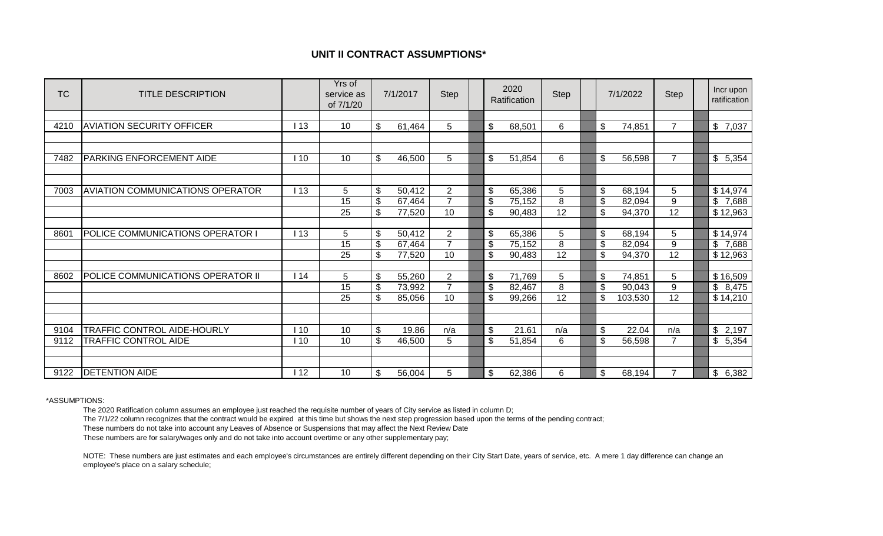## **UNIT II CONTRACT ASSUMPTIONS\***

| <b>TC</b> | <b>TITLE DESCRIPTION</b>                |     | Yrs of<br>service as<br>of 7/1/20 |                | 7/1/2017 | <b>Step</b>    |                | 2020<br>Ratification | <b>Step</b>             |                | 7/1/2022 | <b>Step</b>    | Incr upon<br>ratification          |
|-----------|-----------------------------------------|-----|-----------------------------------|----------------|----------|----------------|----------------|----------------------|-------------------------|----------------|----------|----------------|------------------------------------|
|           |                                         |     |                                   |                |          |                |                |                      |                         |                |          |                |                                    |
| 4210      | <b>AVIATION SECURITY OFFICER</b>        | 113 | 10                                | \$             | 61,464   | 5              | \$             | 68,501               | $\,6$                   | \$             | 74,851   | $\overline{7}$ | $\$\$<br>7,037                     |
|           |                                         |     |                                   |                |          |                |                |                      |                         |                |          |                |                                    |
|           |                                         |     |                                   |                |          |                |                |                      |                         |                |          |                |                                    |
| 7482      | <b>PARKING ENFORCEMENT AIDE</b>         | 10  | 10                                | $\mathbb{S}$   | 46,500   | 5              | \$             | 51,854               | 6                       | \$             | 56,598   | $\overline{7}$ | \$<br>5,354                        |
|           |                                         |     |                                   |                |          |                |                |                      |                         |                |          |                |                                    |
|           |                                         |     |                                   |                |          |                |                |                      |                         |                |          |                |                                    |
| 7003      | <b>AVIATION COMMUNICATIONS OPERATOR</b> | 113 | 5                                 | $\mathfrak{S}$ | 50,412   | $\overline{2}$ | $\mathfrak{S}$ | 65,386               | $\sqrt{5}$              | $\mathfrak{S}$ | 68,194   | 5              | \$14,974                           |
|           |                                         |     | 15                                | $\mathbb{S}$   | 67,464   | $\overline{7}$ | \$             | 75,152               | $\overline{\mathbf{8}}$ | \$             | 82,094   | 9              | $\overline{\mathfrak{s}}$<br>7,688 |
|           |                                         |     | 25                                | $\mathfrak{S}$ | 77,520   | 10             | \$             | 90,483               | 12                      | \$             | 94,370   | 12             | \$12,963                           |
|           |                                         |     |                                   |                |          |                |                |                      |                         |                |          |                |                                    |
| 8601      | <b>POLICE COMMUNICATIONS OPERATOR I</b> | 13  | 5                                 | \$             | 50,412   | $\overline{2}$ | \$             | 65,386               | $\sqrt{5}$              | \$             | 68,194   | 5              | \$14,974                           |
|           |                                         |     | 15                                | \$             | 67,464   | $\overline{7}$ | $\mathfrak{S}$ | 75,152               | 8                       | \$             | 82,094   | 9              | \$<br>7,688                        |
|           |                                         |     | 25                                | \$             | 77,520   | 10             | $\mathfrak{S}$ | 90,483               | 12                      | \$             | 94,370   | 12             | \$12,963                           |
|           |                                         |     |                                   |                |          |                |                |                      |                         |                |          |                |                                    |
| 8602      | POLICE COMMUNICATIONS OPERATOR II       | 14  | 5                                 | $\mathfrak{S}$ | 55,260   | 2              | $\mathfrak{L}$ | 71,769               | 5                       | \$             | 74,851   | 5              | \$16,509                           |
|           |                                         |     | 15                                | $\mathfrak{S}$ | 73,992   | $\overline{7}$ | \$             | 82,467               | 8                       | \$             | 90,043   | 9              | $\$\$<br>8,475                     |
|           |                                         |     | 25                                | \$             | 85,056   | 10             | \$             | 99,266               | $\overline{12}$         | \$             | 103,530  | 12             | \$14,210                           |
|           |                                         |     |                                   |                |          |                |                |                      |                         |                |          |                |                                    |
|           |                                         |     |                                   |                |          |                |                |                      |                         |                |          |                |                                    |
| 9104      | TRAFFIC CONTROL AIDE-HOURLY             | 10  | 10                                | $\mathbb{S}$   | 19.86    | n/a            | $\mathfrak{S}$ | 21.61                | n/a                     | \$             | 22.04    | n/a            | $\$\$<br>2,197                     |
| 9112      | <b>TRAFFIC CONTROL AIDE</b>             | 10  | 10                                | \$             | 46,500   | 5              | \$             | 51,854               | 6                       | \$             | 56,598   | $\overline{7}$ | $\mathfrak{S}$<br>5,354            |
|           |                                         |     |                                   |                |          |                |                |                      |                         |                |          |                |                                    |
|           |                                         |     |                                   |                |          |                |                |                      |                         |                |          |                |                                    |
| 9122      | <b>DETENTION AIDE</b>                   | 112 | 10                                | \$             | 56,004   | 5              | \$             | 62,386               | 6                       | $\mathfrak{S}$ | 68,194   | $\overline{7}$ | $\mathfrak{L}$<br>6,382            |

\*ASSUMPTIONS:

The 2020 Ratification column assumes an employee just reached the requisite number of years of City service as listed in column D;

The 7/1/22 column recognizes that the contract would be expired at this time but shows the next step progression based upon the terms of the pending contract;

These numbers do not take into account any Leaves of Absence or Suspensions that may affect the Next Review Date

These numbers are for salary/wages only and do not take into account overtime or any other supplementary pay;

NOTE: These numbers are just estimates and each employee's circumstances are entirely different depending on their City Start Date, years of service, etc. A mere 1 day difference can change an employee's place on a salary schedule;